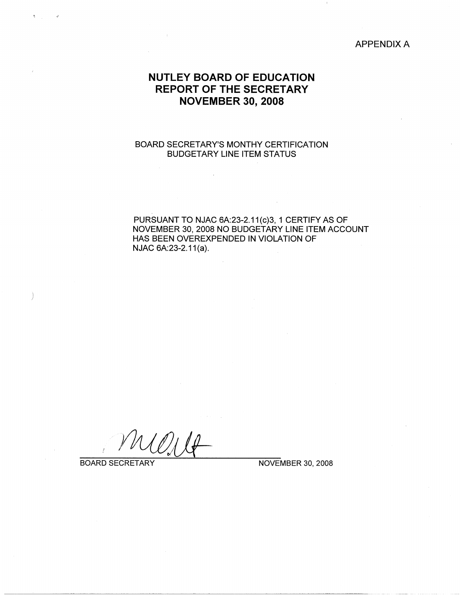### APPENDIX A

# **NUTLEY BOARD OF EDUCATION REPORT OF THE SECRETARY NOVEMBER 30, 2008**

### BOARD SECRETARY'S MONTHY CERTIFICATION BUDGETARY LINE ITEM STATUS

PURSUANT TO NJAC 6A:23-2.11(c)3, 1 CERTIFY AS OF NOVEMBER 30, 2008 NO BUDGETARY LINE ITEM ACCOUNT HAS BEEN OVEREXPENDED IN VIOLATION OF NJAC 6A:23-2.11(a).

BOARD SECRETARY NOVEMBER 30, 2008

)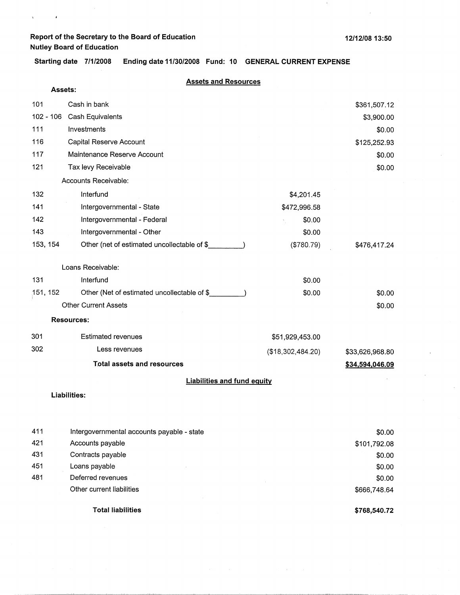$\bar{t}$ 

 $\hat{\mathbf{v}}$ 

 $\sim$ 

**Starting date 7/1/2008 Ending date 11/30/2008 Fund: 10 GENERAL CURRENT EXPENSE** 

|     |                | <b>Assets and Resources</b>                 |                   |                 |
|-----|----------------|---------------------------------------------|-------------------|-----------------|
|     | <b>Assets:</b> |                                             |                   |                 |
| 101 |                | Cash in bank                                |                   | \$361,507.12    |
|     | $102 - 106$    | Cash Equivalents                            |                   | \$3,900.00      |
| 111 |                | Investments                                 |                   | \$0.00          |
| 116 |                | Capital Reserve Account                     |                   | \$125,252.93    |
| 117 |                | Maintenance Reserve Account                 |                   | \$0.00          |
| 121 |                | Tax levy Receivable                         |                   | \$0.00          |
|     |                | Accounts Receivable:                        |                   |                 |
| 132 |                | Interfund                                   | \$4,201.45        |                 |
| 141 |                | Intergovernmental - State                   | \$472,996.58      |                 |
| 142 |                | Intergovernmental - Federal                 | \$0.00            |                 |
| 143 |                | Intergovernmental - Other                   | \$0.00            |                 |
|     | 153, 154       | Other (net of estimated uncollectable of \$ | (\$780.79)        | \$476,417.24    |
|     |                | Loans Receivable:                           |                   |                 |
| 131 |                | Interfund                                   | \$0.00            |                 |
|     | 151, 152       | Other (Net of estimated uncollectable of \$ | \$0.00            | \$0.00          |
|     |                | <b>Other Current Assets</b>                 |                   | \$0.00          |
|     |                | <b>Resources:</b>                           |                   |                 |
| 301 |                | <b>Estimated revenues</b>                   | \$51,929,453.00   |                 |
| 302 |                | Less revenues                               | (\$18,302,484.20) | \$33,626,968.80 |
|     |                | <b>Total assets and resources</b>           |                   | \$34,594,046.09 |
|     |                | <b>Liabilities and fund equity</b>          |                   |                 |
|     |                | <b>Liabilities:</b>                         |                   |                 |

|     | <b>Total liabilities</b>                   | \$768,540.72 |
|-----|--------------------------------------------|--------------|
|     | Other current liabilities                  | \$666,748.64 |
| 481 | Deferred revenues                          | \$0.00       |
| 451 | Loans payable                              | \$0.00       |
| 431 | Contracts payable                          | \$0.00       |
| 421 | Accounts payable                           | \$101,792.08 |
| 411 | Intergovernmental accounts payable - state | \$0.00       |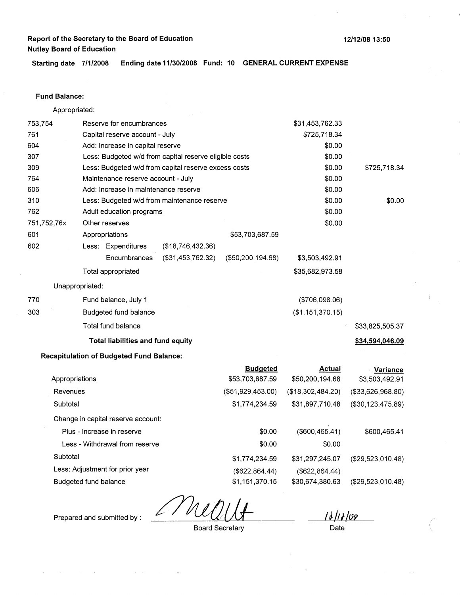**12/12/08 13:50** 

**Starting date 7/1/2008 Ending date 11/30/2008 Fund: 10 GENERAL CURRENT EXPENSE** 

#### **Fund Balance:**

Appropriated: 753,754 Reserve for encumbrances Capital reserve account - July Add: Increase in capital reserve 761 604 307 309 764 606 310 Less: Budgeted w/d from capital reserve eligible costs Less: Budgeted w/d from capital reserve excess costs Maintenance reserve account - July Add: Increase in maintenance reserve 762 751,752,76x 601 Less: Budgeted w/d from maintenance reserve Adult education programs Other reserves Appropriations \$53,703,687.59 602 770 303 Less: Expenditures (\$18,746,432.36) Encumbrances (\$31,453,762.32) Total appropriated Unappropriated: Fund balance, July 1 Budgeted fund balance Total fund balance **Total liabilities and fund equity Recapitulation of Budgeted Fund Balance:**  Appropriations Revenues (\$50,200, 194.68) **Budgeted**  \$53,703,687.59 (\$51,929,453.00) \$31,453,762.33 \$725,718.34 \$0.00 \$0.00 \$0.00 \$0.00 \$0.00 \$0.00 \$0.00 \$0.00 \$3,503,492.91 \$35,682,973.58 (\$706,098.06) (\$1,151,370.15) **Actual**  \$50,200,194.68 (\$18,302,484.20) \$725,718.34 \$0.00 \$33,825,505.37 **\$34,594,046.09 Variance**  \$3,503,492.91 (\$33,626,968.80)

**Subtotal** Change in capital reserve account: Plus - Increase in reserve Less - Withdrawal from reserve **Subtotal** Less: Adjustment for prior year Budgeted fund balance \$1,774,234.59 \$0.00 \$0.00 \$1,774,234.59 (\$622,864.44) \$1,151,370.15 \$31,897,710.48 (\$600,465.41) \$0.00 \$31,297,245.07 (\$622,864.44) \$30,674,380.63 (\$30,123,475.89) \$600,465.41 (\$29,523,010.48) (\$29,523,010.48)

**iJ/t,/w**  Date *(* 

Prepared and submitted by :

Board Secretary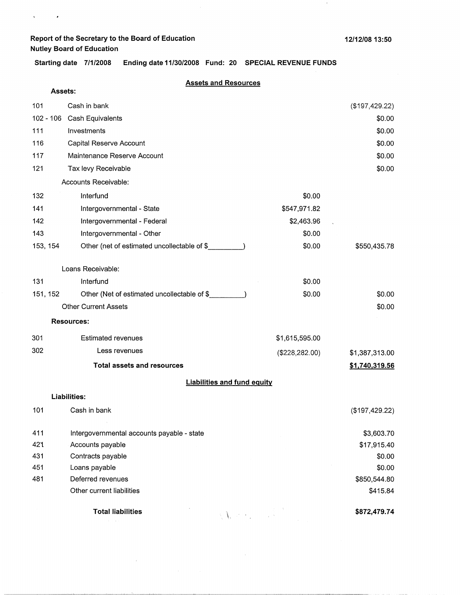$\sim$ 

 $\begin{array}{ccc} \mathfrak{q} & \mathfrak{p} & \mathfrak{p} \\ \end{array}$ 

 $\bar{1}$ 

**Starting date 7/1/2008 Ending date 11/30/2008 Fund: 20 SPECIAL REVENUE FUNDS** 

### **Assets and Resources**

| <b>Assets:</b> |                                                                   |                 |                |
|----------------|-------------------------------------------------------------------|-----------------|----------------|
| 101            | Cash in bank                                                      |                 | (\$197,429.22) |
|                | 102 - 106 Cash Equivalents                                        |                 | \$0.00         |
| 111            | Investments                                                       |                 | \$0.00         |
| 116            | Capital Reserve Account                                           |                 | \$0.00         |
| 117            | Maintenance Reserve Account                                       |                 | \$0.00         |
| 121            | Tax levy Receivable                                               |                 | \$0.00         |
|                | Accounts Receivable:                                              |                 |                |
| 132            | Interfund                                                         | \$0.00          |                |
| 141            | Intergovernmental - State                                         | \$547,971.82    |                |
| 142            | Intergovernmental - Federal                                       | \$2,463.96      |                |
| 143            | Intergovernmental - Other                                         | \$0.00          |                |
| 153, 154       | Other (net of estimated uncollectable of \$_                      | \$0.00          | \$550,435.78   |
|                | Loans Receivable:                                                 |                 |                |
| 131            | Interfund                                                         | \$0.00          |                |
| 151, 152       | Other (Net of estimated uncollectable of \$                       | \$0.00          | \$0.00         |
|                | <b>Other Current Assets</b>                                       |                 | \$0.00         |
|                | <b>Resources:</b>                                                 |                 |                |
| 301            | <b>Estimated revenues</b>                                         | \$1,615,595.00  |                |
| 302            | Less revenues                                                     | (\$228, 282.00) | \$1,387,313.00 |
|                | <b>Total assets and resources</b>                                 |                 | \$1,740,319.56 |
|                | <b>Liabilities and fund equity</b>                                |                 |                |
|                | Liabilities:                                                      |                 |                |
| 101            | Cash in bank                                                      |                 | (\$197,429.22) |
| 411            | Intergovernmental accounts payable - state                        |                 | \$3,603.70     |
| 421            | Accounts payable                                                  |                 | \$17,915.40    |
| 431            | Contracts payable                                                 |                 | \$0.00         |
| 451            | Loans payable                                                     |                 | \$0.00         |
| 481            | Deferred revenues                                                 |                 | \$850,544.80   |
|                | Other current liabilities                                         |                 | \$415.84       |
|                | <b>Total liabilities</b><br>$\mathbb{R}^{n}$ and $\mathbb{R}^{n}$ |                 | \$872,479.74   |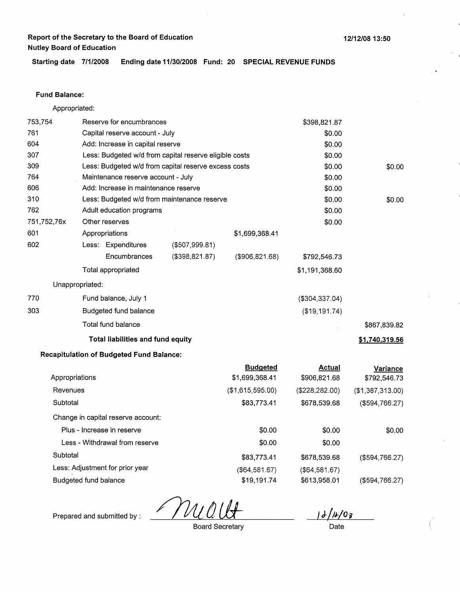**Starting date 7/1/2008 Ending date 11/30/2008 Fund: 20 SPECIAL REVENUE FUNDS** 

### **Fund Balance:**

Appropriated:

| 753,754        |                                                      | Reserve for encumbrances                        |                                                        |                  | \$398,821.87     |                  |
|----------------|------------------------------------------------------|-------------------------------------------------|--------------------------------------------------------|------------------|------------------|------------------|
| 761            |                                                      | Capital reserve account - July                  |                                                        |                  | \$0.00           |                  |
| 604            |                                                      | Add: Increase in capital reserve                |                                                        |                  | \$0.00           |                  |
| 307            |                                                      |                                                 | Less: Budgeted w/d from capital reserve eligible costs |                  | \$0.00           |                  |
| 309            | Less: Budgeted w/d from capital reserve excess costs |                                                 |                                                        |                  | \$0.00           | \$0.00           |
| 764            |                                                      | Maintenance reserve account - July              |                                                        |                  | \$0.00           |                  |
| 606            |                                                      | Add: Increase in maintenance reserve            |                                                        |                  | \$0.00           |                  |
| 310            |                                                      |                                                 | Less: Budgeted w/d from maintenance reserve            |                  | \$0.00           | \$0.00           |
| 762            |                                                      | Adult education programs                        |                                                        |                  | \$0.00           |                  |
| 751,752,76x    |                                                      | Other reserves                                  |                                                        |                  | \$0.00           |                  |
| 601            |                                                      | Appropriations                                  |                                                        | \$1,699,368.41   |                  |                  |
| 602            |                                                      | Less: Expenditures                              | (\$507,999.81)                                         |                  |                  |                  |
|                |                                                      | Encumbrances                                    | $($ \$398,821.87 $)$                                   | (\$906, 821.68)  | \$792,546.73     |                  |
|                |                                                      | Total appropriated                              |                                                        |                  | \$1,191,368.60   |                  |
|                | Unappropriated:                                      |                                                 |                                                        |                  |                  |                  |
| 770            |                                                      | Fund balance, July 1                            |                                                        |                  | ( \$304, 337.04) |                  |
| 303            |                                                      | Budgeted fund balance                           |                                                        |                  | (\$19, 191.74)   |                  |
|                |                                                      | Total fund balance                              |                                                        |                  |                  | \$867,839.82     |
|                |                                                      | <b>Total liabilities and fund equity</b>        |                                                        |                  |                  | \$1,740,319.56   |
|                |                                                      | <b>Recapitulation of Budgeted Fund Balance:</b> |                                                        |                  |                  |                  |
|                |                                                      |                                                 |                                                        | <b>Budgeted</b>  | <b>Actual</b>    | <b>Variance</b>  |
| Appropriations |                                                      |                                                 |                                                        | \$1,699,368.41   | \$906,821.68     | \$792,546.73     |
| Revenues       |                                                      |                                                 |                                                        | (\$1,615,595.00) | (\$228, 282.00)  | (\$1,387,313.00) |
| Subtotal       |                                                      |                                                 |                                                        | \$83,773.41      | \$678,539.68     | ( \$594, 766.27) |
|                |                                                      | Change in capital reserve account:              |                                                        |                  |                  |                  |
|                |                                                      | Plus - Increase in reserve                      |                                                        | \$0.00           | \$0.00           | \$0.00           |
|                |                                                      | Less - Withdrawal from reserve                  |                                                        | \$0.00           | \$0.00           |                  |
| Subtotal       |                                                      |                                                 |                                                        | \$83,773.41      | \$678,539.68     | (\$594,766.27)   |
|                |                                                      | Less: Adjustment for prior year                 |                                                        | (\$64,581.67)    | (\$64,581.67)    |                  |
|                | Budgeted fund balance                                |                                                 |                                                        | \$19,191.74      | \$613,958.01     | (\$594,766.27)   |

T VL

Prepared and submitted by :

Board Secretary

 $d/d/8/03$ 

*(* 

Date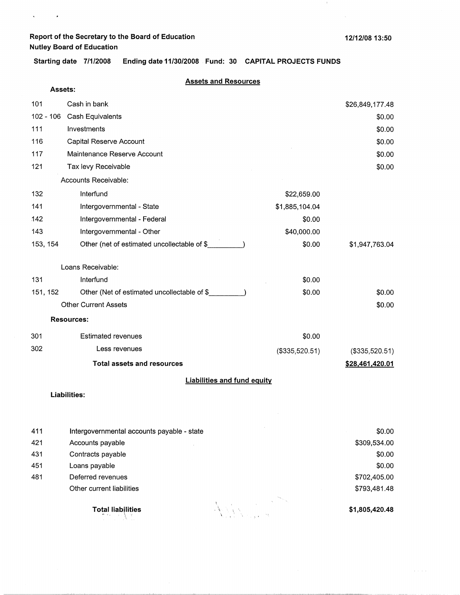$\mathbf{v}^{(i)}$  and  $\mathbf{v}^{(i)}$  .

**12/12/08 13:50** 

 $\mathcal{A}$  .

**Starting date 7/1/2008 Ending date 11/30/2008** . **Fund: 30 CAPITAL PROJECTS FUNDS** 

#### **Assets and Resources**

| Assets:     |                                             |                |                 |
|-------------|---------------------------------------------|----------------|-----------------|
| 101         | Cash in bank                                |                | \$26,849,177.48 |
| $102 - 106$ | Cash Equivalents                            |                | \$0.00          |
| 111         | Investments                                 |                | \$0.00          |
| 116         | Capital Reserve Account                     |                | \$0.00          |
| 117         | Maintenance Reserve Account                 |                | \$0.00          |
| 121         | Tax levy Receivable                         |                | \$0.00          |
|             | Accounts Receivable:                        |                |                 |
| 132         | Interfund                                   | \$22,659.00    |                 |
| 141         | Intergovernmental - State                   | \$1,885,104.04 |                 |
| 142         | Intergovernmental - Federal                 | \$0.00         |                 |
| 143         | Intergovernmental - Other                   | \$40,000.00    |                 |
| 153, 154    | Other (net of estimated uncollectable of \$ | \$0.00         | \$1,947,763.04  |
|             | Loans Receivable:                           |                |                 |
| 131         | Interfund                                   | \$0.00         |                 |
| 151, 152    | Other (Net of estimated uncollectable of \$ | \$0.00         | \$0.00          |
|             | <b>Other Current Assets</b>                 |                | \$0.00          |
|             | <b>Resources:</b>                           |                |                 |
| 301         | <b>Estimated revenues</b>                   | \$0.00         |                 |
| 302         | Less revenues                               | (\$335,520.51) | (\$335,520.51)  |
|             | <b>Total assets and resources</b>           |                | \$28,461,420.01 |
|             | <b>Liabilities and fund equity</b>          |                |                 |
|             | Liebilities.                                |                |                 |

**Liabilities:** 

| 411 | Intergovernmental accounts payable - state |       | \$0.00         |
|-----|--------------------------------------------|-------|----------------|
| 421 | Accounts payable                           |       | \$309,534.00   |
| 431 | Contracts payable                          |       | \$0.00         |
| 451 | Loans payable                              |       | \$0.00         |
| 481 | Deferred revenues                          |       | \$702,405.00   |
|     | Other current liabilities                  |       | \$793,481.48   |
|     | <b>Total liabilities</b><br>せんこうきゅう        | Aller | \$1,805,420.48 |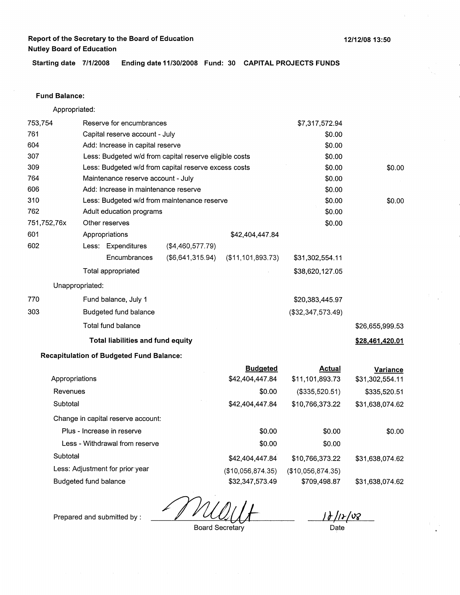**12/12/08 13:50** 

**Starting date 7/1/2008 Ending date 11/30/2008 Fund: 30 CAPITAL PROJECTS FUNDS** 

#### **Fund Balance:**

Appropriated: 753,754 Reserve for encumbrances Capital reserve account - July Add: Increase in capital reserve 761 604 307 309 764 606 310 Less: Budgeted w/d from capital reserve eligible costs Less: Budgeted w/d from capital reserve excess costs Maintenance reserve account - July Add: Increase in maintenance reserve 762 751,752,76x 601 Less: Budgeted w/d from maintenance reserve Adult education programs Other reserves Appropriations \$42,404,447.84 602 (\$4,460,577.79) Less: Expenditures 770 303 **Encumbrances** Total appropriated Unappropriated: Fund balance, July 1 Budgeted fund balance Total fund balance (\$6,641,315.94) (\$11,101,893.73) **Total liabilities and fund equity**  \$7,317,572.94 \$0.00 \$0.00 \$0.00 \$0.00 \$0.00 \$0.00 \$0.00 \$0.00 \$0.00 \$31,302,554.11 \$38,620,127.05 \$20,383,445.97 (\$32,347,573.49) \$0.00 \$0.00 \$26,655,999.53 **\$28,461,420.01** 

#### **Recapitulation of Budgeted Fund Balance:**

|                                    | <b>Budgeted</b>   | <b>Actual</b>     | Variance        |
|------------------------------------|-------------------|-------------------|-----------------|
| Appropriations                     | \$42,404,447.84   | \$11,101,893.73   | \$31,302,554.11 |
| Revenues                           | \$0.00            | (\$335,520.51)    | \$335,520.51    |
| Subtotal                           | \$42,404,447.84   | \$10,766,373.22   | \$31,638,074.62 |
| Change in capital reserve account: |                   |                   |                 |
| Plus - Increase in reserve         | \$0.00            | \$0.00            | \$0.00          |
| Less - Withdrawal from reserve     | \$0.00            | \$0.00            |                 |
| Subtotal                           | \$42,404,447.84   | \$10,766,373.22   | \$31,638,074.62 |
| Less: Adjustment for prior year    | (\$10,056,874.35) | (\$10,056,874.35) |                 |
| Budgeted fund balance              | \$32,347,573.49   | \$709,498.87      | \$31,638,074.62 |

Prepared and submitted by : **JNUULF** 

<u>1J |12 |08 |</u>

Board Secretary

Date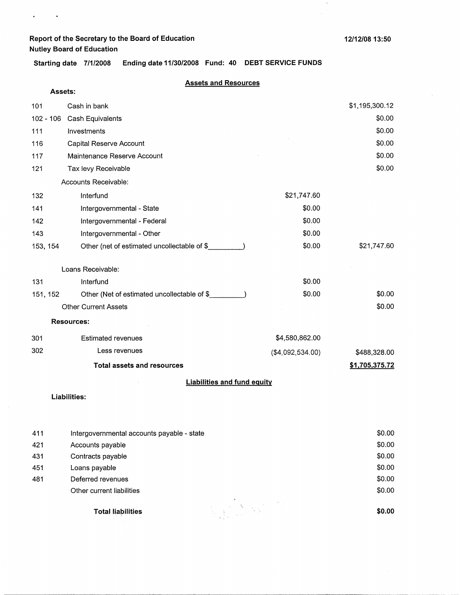**Assets:** 

 $\mathbf{z} = \mathbf{z} + \mathbf{z}$  , we

 $\boldsymbol{i}$ 

**Starting date 7/1/2008 Ending date 11/30/2008 Fund: 40 DEBT SERVICE FUNDS** 

### **Assets and Resources**

| 101<br>$102 - 106$ | Cash in bank<br>Cash Equivalents            |                  | \$1,195,300.12<br>\$0.00 |
|--------------------|---------------------------------------------|------------------|--------------------------|
| 111                | Investments                                 |                  | \$0.00                   |
| 116                | Capital Reserve Account                     |                  | \$0.00                   |
| 117                | Maintenance Reserve Account                 |                  | \$0.00                   |
| 121                | Tax levy Receivable                         |                  | \$0.00                   |
|                    | Accounts Receivable:                        |                  |                          |
| 132                | Interfund                                   | \$21,747.60      |                          |
| 141                | Intergovernmental - State                   | \$0.00           |                          |
| 142                | Intergovernmental - Federal                 | \$0.00           |                          |
| 143                | Intergovernmental - Other                   | \$0.00           |                          |
| 153, 154           | Other (net of estimated uncollectable of \$ | \$0.00           | \$21,747.60              |
|                    | Loans Receivable:                           |                  |                          |
| 131                | Interfund                                   | \$0.00           |                          |
| 151, 152           | Other (Net of estimated uncollectable of \$ | \$0.00           | \$0.00                   |
|                    | <b>Other Current Assets</b>                 |                  | \$0.00                   |
|                    | <b>Resources:</b>                           |                  |                          |
| 301                | <b>Estimated revenues</b>                   | \$4,580,862.00   |                          |
| 302                | Less revenues                               | (\$4,092,534.00) | \$488,328.00             |
|                    | <b>Total assets and resources</b>           |                  | \$1,705,375.72           |
|                    | <b>Liabilities and fund equity</b>          |                  |                          |

#### **Liabilities:**

| 411 | Intergovernmental accounts payable - state | \$0.00 |
|-----|--------------------------------------------|--------|
| 421 | Accounts payable                           | \$0.00 |
| 431 | Contracts payable                          | \$0.00 |
| 451 | Loans payable                              | \$0.00 |
| 481 | Deferred revenues                          | \$0.00 |
|     | Other current liabilities                  | \$0.00 |
|     | <b>Total liabilities</b>                   | \$0.00 |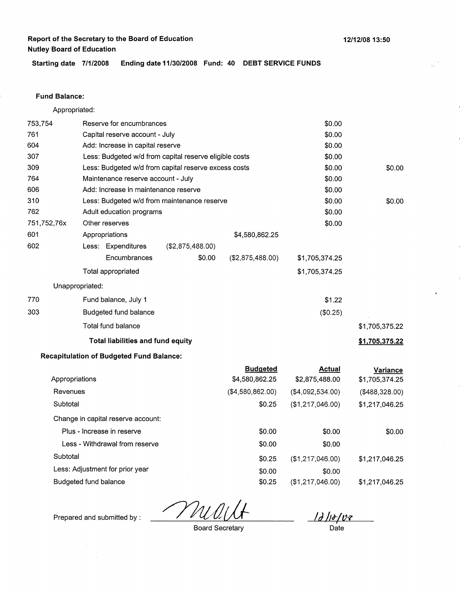\$0.00 \$0.00

**Starting date 7/1/2008 Ending date 11/30/2008 Fund: 40 DEBT SERVICE FUNDS** 

#### **Fund Balance:**

753,754 761 Appropriated: Reserve for encumbrances Capital reserve account - July

|             |                                                        | <b>Total liabilities and fund equity</b> |                                             |                  |                | \$1,705,375.22 |
|-------------|--------------------------------------------------------|------------------------------------------|---------------------------------------------|------------------|----------------|----------------|
|             |                                                        | Total fund balance                       |                                             |                  |                | \$1,705,375.22 |
| 303         |                                                        | Budgeted fund balance                    |                                             |                  | (\$0.25)       |                |
| 770         |                                                        | Fund balance, July 1                     |                                             |                  | \$1.22         |                |
|             | Unappropriated:                                        |                                          |                                             |                  |                |                |
|             |                                                        | Total appropriated                       |                                             |                  | \$1,705,374.25 |                |
|             |                                                        | Encumbrances                             | \$0.00                                      | (\$2,875,488.00) | \$1,705,374.25 |                |
| 602         |                                                        | Less: Expenditures                       | (\$2,875,488.00)                            |                  |                |                |
| 601         |                                                        | Appropriations                           |                                             | \$4,580,862.25   |                |                |
| 751,752,76x |                                                        | Other reserves                           |                                             |                  | \$0.00         |                |
| 762         |                                                        | Adult education programs                 |                                             |                  | \$0.00         |                |
| 310         |                                                        |                                          | Less: Budgeted w/d from maintenance reserve |                  | \$0.00         | \$0.00         |
| 606         |                                                        | Add: Increase in maintenance reserve     |                                             |                  | \$0.00         |                |
| 764         | Maintenance reserve account - July                     |                                          |                                             | \$0.00           |                |                |
| 309         | Less: Budgeted w/d from capital reserve excess costs   |                                          |                                             | \$0.00           | \$0.00         |                |
| 307         | Less: Budgeted w/d from capital reserve eligible costs |                                          |                                             |                  | \$0.00         |                |
| 604         |                                                        | Add: Increase in capital reserve         |                                             |                  | \$0.00         |                |

#### **Recapitulation of Budgeted Fund Balance:**

|                                    | <b>Budgeted</b>  | <b>Actual</b>    | Variance       |
|------------------------------------|------------------|------------------|----------------|
| Appropriations                     | \$4,580,862.25   | \$2,875,488.00   | \$1,705,374.25 |
| Revenues                           | (\$4,580,862.00) | (\$4,092,534.00) | (\$488,328.00) |
| Subtotal                           | \$0.25           | (\$1,217,046.00) | \$1,217,046.25 |
| Change in capital reserve account: |                  |                  |                |
| Plus - Increase in reserve         | \$0.00           | \$0.00           | \$0.00         |
| Less - Withdrawal from reserve     | \$0.00           | \$0.00           |                |
| Subtotal                           | \$0.25           | (\$1,217,046.00) | \$1,217,046.25 |
| Less: Adjustment for prior year    | \$0.00           | \$0.00           |                |
| Budgeted fund balance              | \$0.25           | (\$1.217.046.00) | \$1,217,046.25 |

<u>|J ||+| vz </u>

Prepared and submitted by :

 $\mathcal{A}$ 

Board Secretary

Date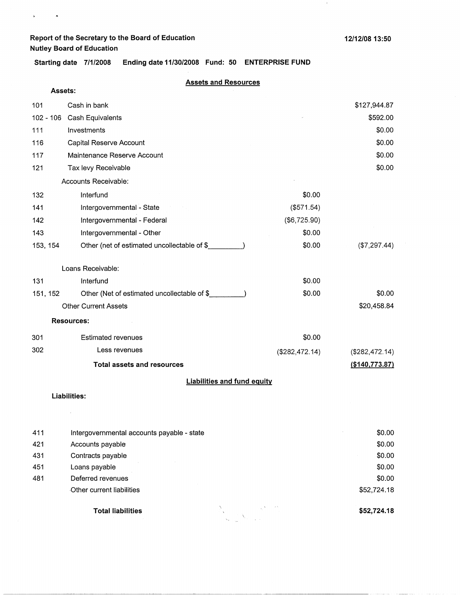$\mathbf{a}^{(i)}$  and  $\mathbf{a}^{(i)}$ 

 $\lambda$ 

**Starting date 7/1/2008 Ending date 11/30/2008 Fund: 50 ENTERPRISE FUND** 

#### **Assets and Resources**

| Assets:     |                                             |                |                  |
|-------------|---------------------------------------------|----------------|------------------|
| 101         | Cash in bank                                |                | \$127,944.87     |
| $102 - 106$ | Cash Equivalents                            | \$592.00       |                  |
| 111         | Investments                                 |                | \$0.00           |
| 116         | Capital Reserve Account                     |                | \$0.00           |
| 117         | Maintenance Reserve Account                 |                | \$0.00           |
| 121         | Tax levy Receivable                         |                | \$0.00           |
|             | Accounts Receivable:                        |                |                  |
| 132         | Interfund                                   | \$0.00         |                  |
| 141         | Intergovernmental - State                   | (\$571.54)     |                  |
| 142         | Intergovernmental - Federal                 | (\$6,725.90)   |                  |
| 143         | Intergovernmental - Other                   | \$0.00         |                  |
| 153, 154    | Other (net of estimated uncollectable of \$ | \$0.00         | (\$7,297.44)     |
|             | Loans Receivable:                           |                |                  |
| 131         | Interfund                                   | \$0.00         |                  |
| 151, 152    | Other (Net of estimated uncollectable of \$ | \$0.00         | \$0.00           |
|             | <b>Other Current Assets</b>                 |                | \$20,458.84      |
|             | <b>Resources:</b>                           |                |                  |
| 301         | <b>Estimated revenues</b>                   | \$0.00         |                  |
| 302         | Less revenues                               | (\$282,472.14) | (\$282,472.14)   |
|             | <b>Total assets and resources</b>           |                | ( \$140, 773.87) |
|             | <b>Liabilities and fund equity</b>          |                |                  |

#### **Liabilities:**

 $\sim$ 

| <b>Total liabilities</b>  | \$52,724.18                                |
|---------------------------|--------------------------------------------|
| Other current liabilities | \$52,724.18                                |
| Deferred revenues         | \$0.00                                     |
| Loans payable             | \$0.00                                     |
| Contracts payable         | \$0.00                                     |
| Accounts payable          | \$0.00                                     |
|                           | \$0.00                                     |
|                           | Intergovernmental accounts payable - state |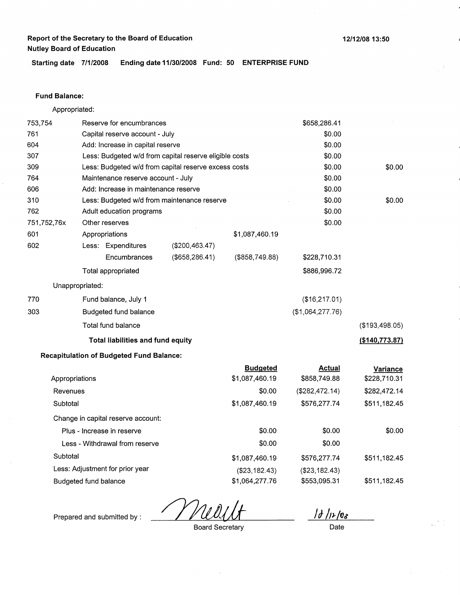**Starting date 7/1/2008 Ending date 11/30/2008 Fund: 50 ENTERPRISE FUND** 

#### **Fund Balance:**

Appropriated:

753,754 761 604 Reserve for encumbrances Capital reserve account - July Add: Increase in capital reserve 307 309 764 Less: Budgeted w/d from capital reserve eligible costs Less: Budgeted w/d from capital reserve excess costs Maintenance reserve account - July 606 Add: Increase in maintenance reserve 310 762 751,752,76x 601 Less: Budgeted w/d from maintenance reserve Adult education programs Other reserves Appropriations 602 770 303 Less: Expenditures **Encumbrances** Total appropriated Unappropriated: Fund balance, July 1 Budgeted fund balance Total fund balance (\$200,463.47) (\$658,286.41) **Total liabilities and fund equity**  \$1,087,460.19 (\$858,749.88) \$658,286.41 \$0.00 \$0.00 \$0.00 \$0.00 \$0.00 \$0.00 \$0.00 \$0.00 \$0.00 \$228,710.31 \$886,996.72 (\$16,217.01) (\$1,064,277.76) \$0.00 \$0.00 (\$193,498.05) **(\$140,773.87)** 

#### **Recapitulation of Budgeted Fund Balance:**

|                                    | <b>Budgeted</b> | <b>Actual</b>   | Variance     |
|------------------------------------|-----------------|-----------------|--------------|
| Appropriations                     | \$1,087,460.19  | \$858,749.88    | \$228,710.31 |
| Revenues                           | \$0.00          | (\$282,472.14)  | \$282,472.14 |
| Subtotal                           | \$1,087,460.19  | \$576,277.74    | \$511,182.45 |
| Change in capital reserve account: |                 |                 |              |
| Plus - Increase in reserve         | \$0.00          | \$0.00          | \$0.00       |
| Less - Withdrawal from reserve     | \$0.00          | \$0.00          |              |
| Subtotal                           | \$1,087,460.19  | \$576,277.74    | \$511,182.45 |
| Less: Adjustment for prior year    | (\$23,182.43)   | ( \$23, 182.43) |              |
| Budgeted fund balance              | \$1,064,277.76  | \$553,095.31    | \$511.182.45 |

 $1d/12/08$ Date

**12/12/08 13:50** 

Prepared and submitted by :

Board Secretary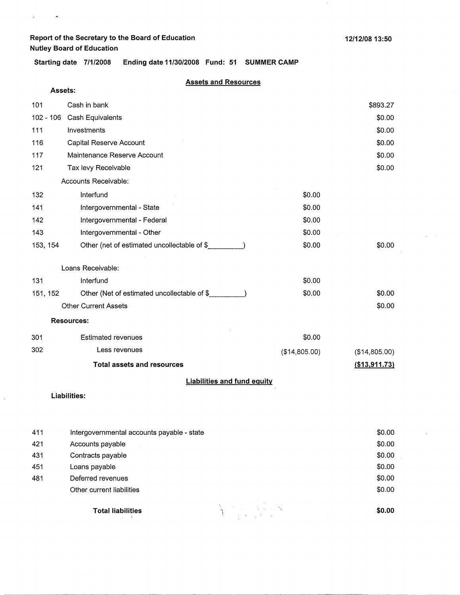$\mathfrak{g}^{\pm}$  ,  $\mathfrak{g}^{\pm}$  ,  $\mathfrak{g}^{\pm}$ 

**Starting date 7/1/2008 Ending date 11/30/2008 Fund: 51 SUMMER CAMP** 

#### **Assets and Resources**

| Assets:     |                                             |               |               |  |  |
|-------------|---------------------------------------------|---------------|---------------|--|--|
| 101         | Cash in bank                                |               | \$893.27      |  |  |
| $102 - 106$ | Cash Equivalents                            |               | \$0.00        |  |  |
| 111         | Investments                                 |               | \$0.00        |  |  |
| 116         | Capital Reserve Account                     |               | \$0.00        |  |  |
| 117         | Maintenance Reserve Account                 |               | \$0.00        |  |  |
| 121         | Tax levy Receivable                         |               | \$0.00        |  |  |
|             | Accounts Receivable:                        |               |               |  |  |
| 132         | Interfund                                   | \$0.00        |               |  |  |
| 141         | Intergovernmental - State                   | \$0.00        |               |  |  |
| 142         | Intergovernmental - Federal                 | \$0.00        |               |  |  |
| 143         | Intergovernmental - Other                   | \$0.00        |               |  |  |
| 153, 154    | Other (net of estimated uncollectable of \$ | \$0.00        | \$0.00        |  |  |
|             | Loans Receivable:                           |               |               |  |  |
| 131         | Interfund                                   | \$0.00        |               |  |  |
| 151, 152    | Other (Net of estimated uncollectable of \$ | \$0.00        | \$0.00        |  |  |
|             | <b>Other Current Assets</b>                 |               | \$0.00        |  |  |
|             | <b>Resources:</b>                           |               |               |  |  |
| 301         | <b>Estimated revenues</b>                   | \$0.00        |               |  |  |
| 302         | Less revenues                               | (\$14,805.00) | (\$14,805.00) |  |  |
|             | <b>Total assets and resources</b>           |               | (\$13,911.73) |  |  |
|             | t talettiina aast foast as                  |               |               |  |  |

#### **Liabilities and fund equity**

**Liabilities:** 

 $\hat{\mathcal{L}}$ 

| 411 | Intergovernmental accounts payable - state | \$0.00 |
|-----|--------------------------------------------|--------|
| 421 | Accounts payable                           | \$0.00 |
| 431 | Contracts payable                          | \$0.00 |
| 451 | Loans payable                              | \$0.00 |
| 481 | Deferred revenues                          | \$0.00 |
|     | Other current liabilities                  | \$0.00 |
|     | Version North<br><b>Total liabilities</b>  | \$0.00 |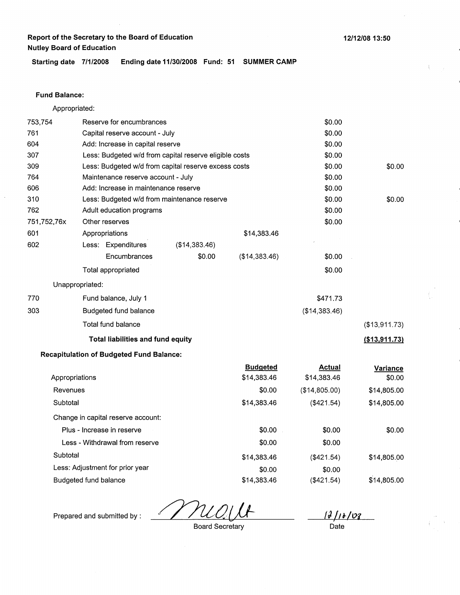**Starting date 7/1/2008 Ending date 11/30/2008 Fund: 51 SUMMER CAMP** 

### **Fund Balance:**

Appropriated:

| 753,754     |                                | Reserve for encumbrances                        |                                                        |                                | \$0.00                       |                    |
|-------------|--------------------------------|-------------------------------------------------|--------------------------------------------------------|--------------------------------|------------------------------|--------------------|
| 761         | Capital reserve account - July |                                                 |                                                        | \$0.00                         |                              |                    |
| 604         |                                | Add: Increase in capital reserve                |                                                        |                                | \$0.00                       |                    |
| 307         |                                |                                                 | Less: Budgeted w/d from capital reserve eligible costs |                                | \$0.00                       |                    |
| 309         |                                |                                                 | Less: Budgeted w/d from capital reserve excess costs   |                                | \$0.00                       | \$0.00             |
| 764         |                                | Maintenance reserve account - July              |                                                        |                                | \$0.00                       |                    |
| 606         |                                | Add: Increase in maintenance reserve            |                                                        |                                | \$0.00                       |                    |
| 310         |                                |                                                 | Less: Budgeted w/d from maintenance reserve            |                                | \$0.00                       | \$0.00             |
| 762         |                                | Adult education programs                        |                                                        |                                | \$0.00                       |                    |
| 751,752,76x |                                | Other reserves                                  |                                                        |                                | \$0.00                       |                    |
| 601         |                                | Appropriations                                  |                                                        | \$14,383.46                    |                              |                    |
| 602         |                                | Less: Expenditures                              | (\$14,383.46)                                          |                                |                              |                    |
|             |                                | Encumbrances                                    | \$0.00                                                 | (\$14,383.46)                  | \$0.00                       |                    |
|             |                                | Total appropriated                              |                                                        |                                | \$0.00                       |                    |
|             | Unappropriated:                |                                                 |                                                        |                                |                              |                    |
| 770         |                                | Fund balance, July 1                            |                                                        |                                | \$471.73                     |                    |
| 303         |                                | Budgeted fund balance                           |                                                        |                                | (\$14,383.46)                |                    |
|             |                                | Total fund balance                              |                                                        |                                |                              | (\$13,911.73)      |
|             |                                | <b>Total liabilities and fund equity</b>        |                                                        |                                |                              | (\$13,911.73)      |
|             |                                | <b>Recapitulation of Budgeted Fund Balance:</b> |                                                        |                                |                              |                    |
|             | Appropriations                 |                                                 |                                                        | <b>Budgeted</b><br>\$14,383.46 | <b>Actual</b><br>\$14,383.46 | Variance<br>\$0.00 |
| Revenues    |                                |                                                 |                                                        | \$0.00                         | (\$14,805.00)                | \$14,805.00        |
| Subtotal    |                                |                                                 |                                                        | \$14,383.46                    | (\$421.54)                   | \$14,805.00        |
|             |                                | Change in capital reserve account:              |                                                        |                                |                              |                    |
|             |                                | Plus - Increase in reserve                      |                                                        | \$0.00                         | \$0.00                       | \$0.00             |
|             |                                | Less - Withdrawal from reserve                  |                                                        | \$0.00                         | \$0.00                       |                    |
| Subtotal    |                                |                                                 |                                                        | \$14,383.46                    | (\$421.54)                   | \$14,805.00        |
|             |                                | Less: Adjustment for prior year                 |                                                        | \$0.00                         | \$0.00                       |                    |
|             | Budgeted fund balance          |                                                 |                                                        | \$14,383.46                    | (\$421.54)                   | \$14,805.00        |

 $\mathcal{U}$ 

*IJ /11-/03*<br>Date

Prepared and submitted by :

Board Secretary

**12/12/08 13:50**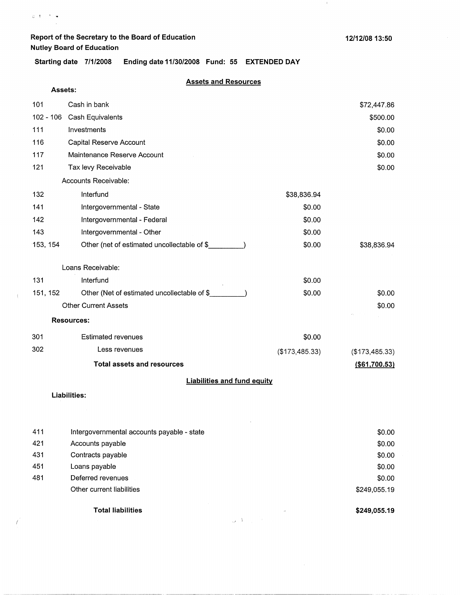$\mathcal{A}$ 

**Starting date 7/1/2008 Ending date 11/30/2008 Fund: 55 EXTENDED DAY** 

### **Assets and Resources**

| Assets:     |                                             |                |                 |
|-------------|---------------------------------------------|----------------|-----------------|
| 101         | Cash in bank                                |                | \$72,447.86     |
| $102 - 106$ | Cash Equivalents                            |                | \$500.00        |
| 111         | Investments                                 |                | \$0.00          |
| 116         | Capital Reserve Account                     |                | \$0.00          |
| 117         | Maintenance Reserve Account                 |                | \$0.00          |
| 121         | Tax levy Receivable                         |                | \$0.00          |
|             | Accounts Receivable:                        |                |                 |
| 132         | Interfund                                   | \$38,836.94    |                 |
| 141         | Intergovernmental - State                   | \$0.00         |                 |
| 142         | Intergovernmental - Federal                 | \$0.00         |                 |
| 143         | Intergovernmental - Other                   | \$0.00         |                 |
| 153, 154    | Other (net of estimated uncollectable of \$ | \$0.00         | \$38,836.94     |
|             | Loans Receivable:                           |                |                 |
| 131         | Interfund                                   | \$0.00         |                 |
| 151, 152    | Other (Net of estimated uncollectable of \$ | \$0.00         | \$0.00          |
|             | <b>Other Current Assets</b>                 |                | \$0.00          |
|             | <b>Resources:</b>                           |                |                 |
| 301         | <b>Estimated revenues</b>                   | \$0.00         |                 |
| 302         | Less revenues                               | (\$173,485.33) | (\$173,485.33)  |
|             | <b>Total assets and resources</b>           |                | ( \$61, 700.53) |
|             | <b>Liabilities and fund equity</b>          |                |                 |

#### **Liabilities:**

 $\langle$ 

 $\bigg)$ 

| 411 | Intergovernmental accounts payable - state |                             | \$0.00       |
|-----|--------------------------------------------|-----------------------------|--------------|
| 421 | Accounts payable                           |                             | \$0.00       |
| 431 | Contracts payable                          |                             | \$0.00       |
| 451 | Loans payable                              |                             | \$0.00       |
| 481 | Deferred revenues                          |                             | \$0.00       |
|     | Other current liabilities                  |                             | \$249,055.19 |
|     | Total liabilities                          | $\mathcal{L}^{\mathcal{L}}$ | \$249,055.19 |

 $\mathcal{A}=\mathcal{A}^{\text{max}}$ 

 $\bar{\mathcal{A}}$